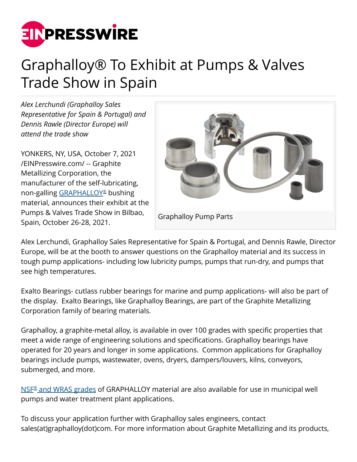

## Graphalloy® To Exhibit at Pumps & Valves Trade Show in Spain

*Alex Lerchundi (Graphalloy Sales Representative for Spain & Portugal) and Dennis Rawle (Director Europe) will attend the trade show*

YONKERS, NY, USA, October 7, 2021 [/EINPresswire.com/](http://www.einpresswire.com) -- Graphite Metallizing Corporation, the manufacturer of the self-lubricating, non-galling <u>GRAPHALLOY[®](https://graphalloy.com/?utm_source=PR_Oct_21&utm_medium=PR_Oct_21&utm_campaign=PR_Oct_21)</u> bushing material, announces their exhibit at the Pumps & Valves Trade Show in Bilbao, Spain, October 26-28, 2021.



Alex Lerchundi, Graphalloy Sales Representative for Spain & Portugal, and Dennis Rawle, Director Europe, will be at the booth to answer questions on the Graphalloy material and its success in tough pump applications- including low lubricity pumps, pumps that run-dry, and pumps that see high temperatures.

Exalto Bearings- cutlass rubber bearings for marine and pump applications- will also be part of the display. Exalto Bearings, like Graphalloy Bearings, are part of the Graphite Metallizing Corporation family of bearing materials.

Graphalloy, a graphite-metal alloy, is available in over 100 grades with specific properties that meet a wide range of engineering solutions and specifications. Graphalloy bearings have operated for 20 years and longer in some applications. Common applications for Graphalloy bearings include pumps, wastewater, ovens, dryers, dampers/louvers, kilns, conveyors, submerged, and more.

[NSF](https://www.graphalloy.com/html/NSF_WRAS.html?utm_source=PR&utm_medium=PR)[®](https://www.graphalloy.com/html/NSF_WRAS.html?utm_source=PR&utm_medium=PR)  [and WRAS grades](https://www.graphalloy.com/html/NSF_WRAS.html?utm_source=PR&utm_medium=PR) of GRAPHALLOY material are also available for use in municipal well pumps and water treatment plant applications.

To discuss your application further with Graphalloy sales engineers, contact sales(at)graphalloy(dot)com. For more information about Graphite Metallizing and its products,